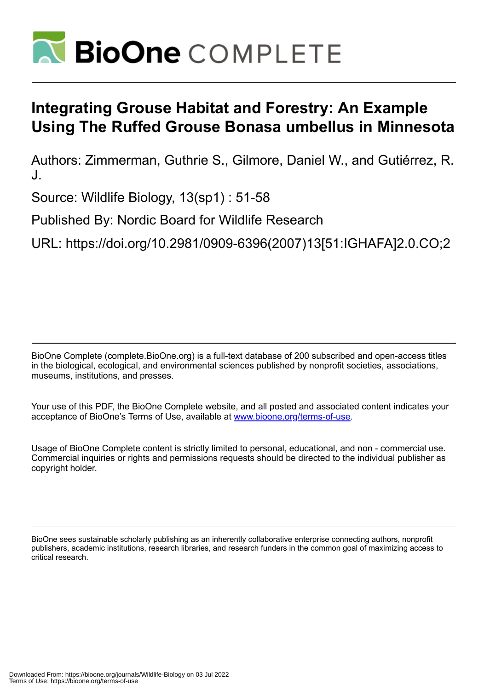

# **Integrating Grouse Habitat and Forestry: An Example Using The Ruffed Grouse Bonasa umbellus in Minnesota**

Authors: Zimmerman, Guthrie S., Gilmore, Daniel W., and Gutiérrez, R. J.

Source: Wildlife Biology, 13(sp1) : 51-58

Published By: Nordic Board for Wildlife Research

URL: https://doi.org/10.2981/0909-6396(2007)13[51:IGHAFA]2.0.CO;2

BioOne Complete (complete.BioOne.org) is a full-text database of 200 subscribed and open-access titles in the biological, ecological, and environmental sciences published by nonprofit societies, associations, museums, institutions, and presses.

Your use of this PDF, the BioOne Complete website, and all posted and associated content indicates your acceptance of BioOne's Terms of Use, available at www.bioone.org/terms-of-use.

Usage of BioOne Complete content is strictly limited to personal, educational, and non - commercial use. Commercial inquiries or rights and permissions requests should be directed to the individual publisher as copyright holder.

BioOne sees sustainable scholarly publishing as an inherently collaborative enterprise connecting authors, nonprofit publishers, academic institutions, research libraries, and research funders in the common goal of maximizing access to critical research.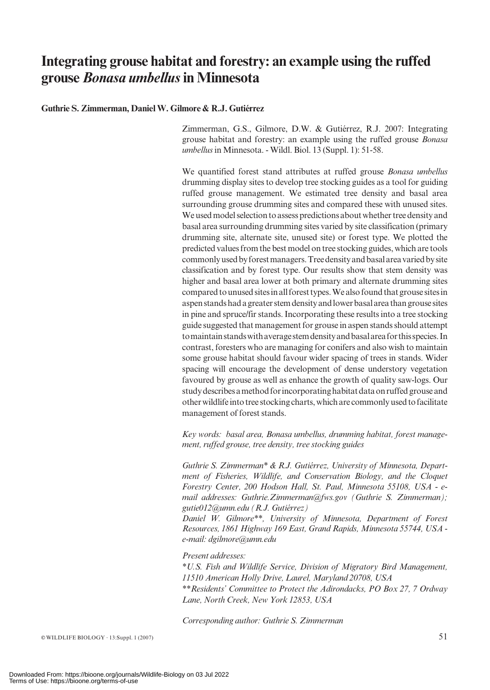# Integrating grouse habitat and forestry: an example using the ruffed grouse *Bonasa umbellus* in Minnesota

#### Guthrie S. Zimmerman, Daniel W. Gilmore & R.J. Gutiérrez

Zimmerman, G.S., Gilmore, D.W. & Gutiérrez, R.J. 2007: Integrating grouse habitat and forestry: an example using the ruffed grouse Bonasa umbellus in Minnesota. - Wildl. Biol. 13 (Suppl. 1): 51-58.

We quantified forest stand attributes at ruffed grouse Bonasa umbellus drumming display sites to develop tree stocking guides as a tool for guiding ruffed grouse management. We estimated tree density and basal area surrounding grouse drumming sites and compared these with unused sites. We used model selection to assess predictions about whether tree density and basal area surrounding drumming sites varied by site classification (primary drumming site, alternate site, unused site) or forest type. We plotted the predicted values from the best model on tree stocking guides, which are tools commonly used by forest managers. Tree density and basal area varied by site classification and by forest type. Our results show that stem density was higher and basal area lower at both primary and alternate drumming sites compared to unused sites in all forest types. We also found that grouse sites in aspenstandshadagreaterstemdensityandlowerbasalareathangrousesites in pine and spruce/fir stands. Incorporating these results into a tree stocking guide suggested that management for grouse in aspen stands should attempt tomaintainstandswithaveragestemdensityandbasalareaforthisspecies.In contrast, foresters who are managing for conifers and also wish to maintain some grouse habitat should favour wider spacing of trees in stands. Wider spacing will encourage the development of dense understory vegetation favoured by grouse as well as enhance the growth of quality saw-logs. Our study describes a method for incorporating habitat data on ruffed grouse and otherwildlife into tree stockingcharts, whichare commonlyusedtofacilitate management of forest stands.

Key words: basal area, Bonasa umbellus, drumming habitat, forest management, ruffed grouse, tree density, tree stocking guides

Guthrie S. Zimmerman\* & R.J. Gutiérrez, University of Minnesota, Department of Fisheries, Wildlife, and Conservation Biology, and the Cloquet Forestry Center, 200 Hodson Hall, St. Paul, Minnesota 55108, USA - email addresses: Guthrie.Zimmerman@fws.gov (Guthrie S. Zimmerman);  $gutiel$  $12$ @umn.edu (R.J. Gutiérrez)

Daniel W. Gilmore\*\*, University of Minnesota, Department of Forest Resources, 1861 Highway 169 East, Grand Rapids, Minnesota 55744, USA e-mail: dgilmore@umn.edu

#### Present addresses:

\*U.S. Fish and Wildlife Service, Division of Migratory Bird Management, 11510 American Holly Drive, Laurel, Maryland 20708, USA

\*\*Residents' Committee to Protect the Adirondacks, PO Box 27, 7 Ordway Lane, North Creek, New York 12853, USA

Corresponding author: Guthrie S. Zimmerman

 $\circ$  WILDLIFE BIOLOGY  $\cdot$  13:Suppl. 1 (2007) 51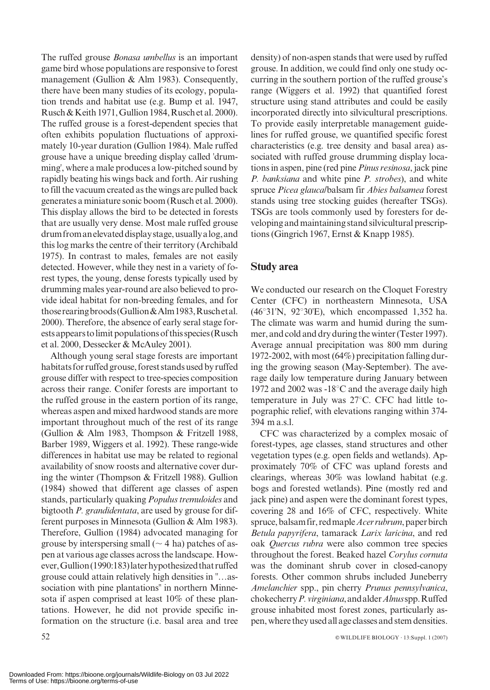The ruffed grouse *Bonasa umbellus* is an important game bird whose populations are responsive to forest management (Gullion & Alm 1983). Consequently, there have been many studies of its ecology, population trends and habitat use (e.g. Bump et al. 1947, Rusch & Keith 1971, Gullion 1984,Ruschet al. 2000). The ruffed grouse is a forest-dependent species that often exhibits population fluctuations of approximately 10-year duration (Gullion 1984). Male ruffed grouse have a unique breeding display called 'drumming', where a male produces a low-pitched sound by rapidly beating his wings back and forth. Air rushing to fill the vacuum created as the wings are pulled back generates a miniature sonic boom (Rusch et al. 2000). This display allows the bird to be detected in forests that are usually very dense. Most male ruffed grouse drum from an elevated display stage, usually a log, and this log marks the centre of their territory (Archibald 1975). In contrast to males, females are not easily detected. However, while they nest in a variety of forest types, the young, dense forests typically used by drumming males year-round are also believed to provide ideal habitat for non-breeding females, and for thoserearingbroods(Gullion&Alm1983,Ruschetal. 2000). Therefore, the absence of early seral stage forests appears to limit populations of this species (Rusch et al. 2000, Dessecker & McAuley 2001).

Although young seral stage forests are important habitats for ruffed grouse, forest stands used by ruffed grouse differ with respect to tree-species composition across their range. Conifer forests are important to the ruffed grouse in the eastern portion of its range, whereas aspen and mixed hardwood stands are more important throughout much of the rest of its range (Gullion & Alm 1983, Thompson & Fritzell 1988, Barber 1989, Wiggers et al. 1992). These range-wide differences in habitat use may be related to regional availability of snow roosts and alternative cover during the winter (Thompson & Fritzell 1988). Gullion (1984) showed that different age classes of aspen stands, particularly quaking Populus tremuloides and bigtooth P. grandidentata, are used by grouse for different purposes in Minnesota (Gullion & Alm 1983). Therefore, Gullion (1984) advocated managing for grouse by interspersing small ( $\sim$  4 ha) patches of aspen at various age classes across the landscape. However,Gullion(1990:183)laterhypothesizedthatruffed grouse could attain relatively high densities in ''…association with pine plantations'' in northern Minnesota if aspen comprised at least 10% of these plantations. However, he did not provide specific information on the structure (i.e. basal area and tree

density) of non-aspen stands that were used by ruffed grouse. In addition, we could find only one study occurring in the southern portion of the ruffed grouse's range (Wiggers et al. 1992) that quantified forest structure using stand attributes and could be easily incorporated directly into silvicultural prescriptions. To provide easily interpretable management guidelines for ruffed grouse, we quantified specific forest characteristics (e.g. tree density and basal area) associated with ruffed grouse drumming display locations in aspen, pine (red pine Pinus resinosa, jack pine P. banksiana and white pine P. strobes), and white spruce Picea glauca/balsam fir Abies balsamea forest stands using tree stocking guides (hereafter TSGs). TSGs are tools commonly used by foresters for developing and maintaining stand silvicultural prescriptions (Gingrich 1967, Ernst & Knapp 1985).

# Study area

We conducted our research on the Cloquet Forestry Center (CFC) in northeastern Minnesota, USA (46°31'N, 92°30'E), which encompassed 1,352 ha. The climate was warm and humid during the summer, and cold and dry during the winter (Tester 1997). Average annual precipitation was 800 mm during 1972-2002, with most (64%) precipitation falling during the growing season (May-September). The average daily low temperature during January between 1972 and 2002 was  $-18^{\circ}$ C and the average daily high temperature in July was  $27^{\circ}$ C. CFC had little topographic relief, with elevations ranging within 374- 394 m a.s.l.

CFC was characterized by a complex mosaic of forest-types, age classes, stand structures and other vegetation types (e.g. open fields and wetlands). Approximately 70% of CFC was upland forests and clearings, whereas 30% was lowland habitat (e.g. bogs and forested wetlands). Pine (mostly red and jack pine) and aspen were the dominant forest types, covering 28 and 16% of CFC, respectively. White spruce, balsam fir, red maple *Acer rubrum*, paper birch Betula papyrifera, tamarack Larix laricina, and red oak Quercus rubra were also common tree species throughout the forest. Beaked hazel Corylus cornuta was the dominant shrub cover in closed-canopy forests. Other common shrubs included Juneberry Amelanchier spp., pin cherry Prunus pennsylvanica, chokecherryP.virginiana,andalderAlnusspp.Ruffed grouse inhabited most forest zones, particularly aspen, where theyusedall age classes and stem densities.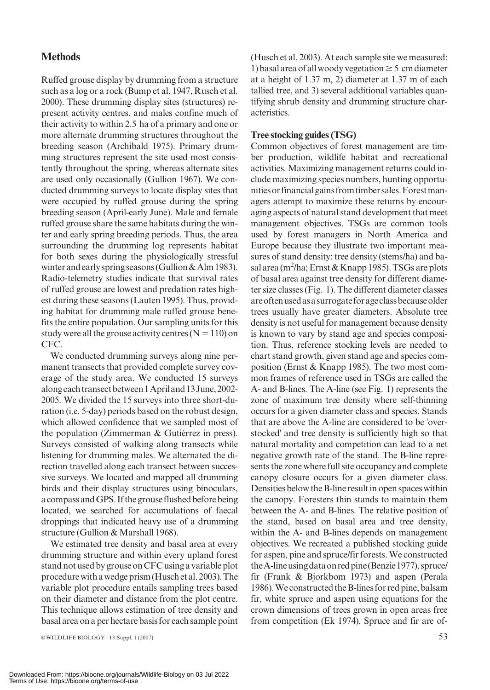# **Methods**

Ruffed grouse display by drumming from a structure such as a log or a rock (Bump et al. 1947, Rusch et al. 2000). These drumming display sites (structures) represent activity centres, and males confine much of their activity to within 2.5 ha of a primary and one or more alternate drumming structures throughout the breeding season (Archibald 1975). Primary drumming structures represent the site used most consistently throughout the spring, whereas alternate sites are used only occasionally (Gullion 1967). We conducted drumming surveys to locate display sites that were occupied by ruffed grouse during the spring breeding season (April-early June). Male and female ruffed grouse share the same habitats during the winter and early spring breeding periods. Thus, the area surrounding the drumming log represents habitat for both sexes during the physiologically stressful winter and early spring seasons (Gullion & Alm 1983). Radio-telemetry studies indicate that survival rates of ruffed grouse are lowest and predation rates highest during these seasons (Lauten 1995). Thus, providing habitat for drumming male ruffed grouse benefits the entire population. Our sampling units for this study were all the grouse activity centres  $(N = 110)$  on CFC.

We conducted drumming surveys along nine permanent transects that provided complete survey coverage of the study area. We conducted 15 surveys alongeachtransectbetween1Apriland13June,2002- 2005. We divided the 15 surveys into three short-duration (i.e. 5-day) periods based on the robust design, which allowed confidence that we sampled most of the population (Zimmerman  $&$  Gutiérrez in press). Surveys consisted of walking along transects while listening for drumming males. We alternated the direction travelled along each transect between successive surveys. We located and mapped all drumming birds and their display structures using binoculars, a compass and GPS. If the grouse flushed before being located, we searched for accumulations of faecal droppings that indicated heavy use of a drumming structure (Gullion & Marshall 1968).

We estimated tree density and basal area at every drumming structure and within every upland forest stand not usedby grouse on CFC using a variable plot procedure withawedge prism(Husch etal.2003).The variable plot procedure entails sampling trees based on their diameter and distance from the plot centre. This technique allows estimation of tree density and basal area on a per hectare basis for each sample point (Husch et al. 2003). At each sample site we measured: 1) basal area of all woody vegetation  $\geq$  5 cm diameter at a height of 1.37 m, 2) diameter at 1.37 m of each tallied tree, and 3) several additional variables quantifying shrub density and drumming structure characteristics.

#### Tree stocking guides (TSG)

Common objectives of forest management are timber production, wildlife habitat and recreational activities. Maximizing management returns could include maximizing species numbers, hunting opportunitiesorfinancialgainsfromtimbersales.Forestmanagers attempt to maximize these returns by encouraging aspects of natural stand development that meet management objectives. TSGs are common tools used by forest managers in North America and Europe because they illustrate two important measures of stand density: tree density (stems/ha) and basal area (m $^2$ /ha; Ernst & Knapp 1985). TSGs are plots of basal area against tree density for different diameter size classes (Fig. 1). The different diameter classes areoftenusedasasurrogateforageclassbecauseolder trees usually have greater diameters. Absolute tree density is not useful for management because density is known to vary by stand age and species composition. Thus, reference stocking levels are needed to chart stand growth, given stand age and species composition (Ernst & Knapp 1985). The two most common frames of reference used in TSGs are called the A- and B-lines. The A-line (see Fig. 1) represents the zone of maximum tree density where self-thinning occurs for a given diameter class and species. Stands that are above the A-line are considered to be 'overstocked' and tree density is sufficiently high so that natural mortality and competition can lead to a net negative growth rate of the stand. The B-line represents the zone where full site occupancy and complete canopy closure occurs for a given diameter class. Densities below the B-line result in open spaces within the canopy. Foresters thin stands to maintain them between the A- and B-lines. The relative position of the stand, based on basal area and tree density, within the A- and B-lines depends on management objectives. We recreated a published stocking guide for aspen, pine and spruce/fir forests. We constructed the A-line using data on red pine (Benzie 1977), spruce/ fir (Frank & Bjorkbom 1973) and aspen (Perala 1986). We constructed the B-lines for red pine, balsam fir, white spruce and aspen using equations for the crown dimensions of trees grown in open areas free from competition (Ek 1974). Spruce and fir are of-

 $\infty$  WILDLIFE BIOLOGY · 13:Suppl. 1 (2007) 53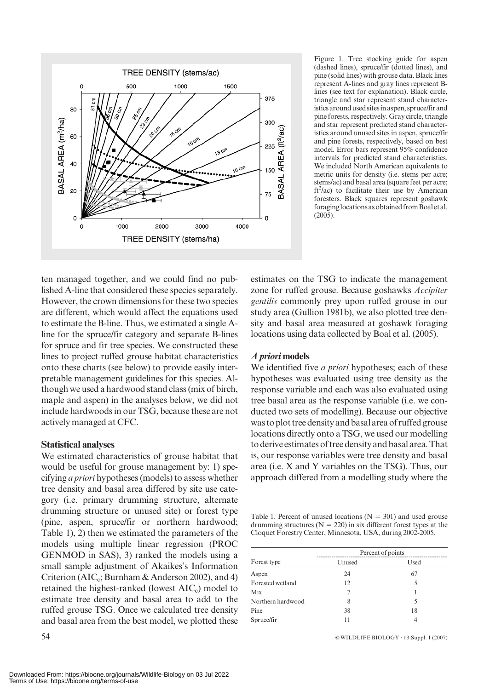

Figure 1. Tree stocking guide for aspen (dashed lines), spruce/fir (dotted lines), and pine (solid lines) with grouse data. Black lines represent A-lines and gray lines represent Blines (see text for explanation). Black circle, triangle and star represent stand characteristicsaroundusedsitesinaspen,spruce/firand pine forests, respectively. Gray circle, triangle and star represent predicted stand characteristics around unused sites in aspen, spruce/fir and pine forests, respectively, based on best model. Error bars represent 95% confidence intervals for predicted stand characteristics. We included North American equivalents to metric units for density (i.e. stems per acre; stems/ac) and basal area (square feet per acre;  $ft<sup>2</sup>/ac$ ) to facilitate their use by American foresters. Black squares represent goshawk foraginglocationsasobtainedfromBoaletal. (2005).

ten managed together, and we could find no published A-line that considered these species separately. However, the crown dimensions for these two species are different, which would affect the equations used to estimate the B-line. Thus, we estimated a single Aline for the spruce/fir category and separate B-lines for spruce and fir tree species. We constructed these lines to project ruffed grouse habitat characteristics onto these charts (see below) to provide easily interpretable management guidelines for this species. Although we used a hardwood stand class (mix of birch, maple and aspen) in the analyses below, we did not include hardwoods in our TSG, because these are not actively managed at CFC.

#### Statistical analyses

We estimated characteristics of grouse habitat that would be useful for grouse management by: 1) specifying a priori hypotheses (models) to assess whether tree density and basal area differed by site use category (i.e. primary drumming structure, alternate drumming structure or unused site) or forest type (pine, aspen, spruce/fir or northern hardwood; Table 1), 2) then we estimated the parameters of the models using multiple linear regression (PROC GENMOD in SAS), 3) ranked the models using a small sample adjustment of Akaikes's Information Criterion (AIC<sub>c</sub>; Burnham & Anderson 2002), and 4) retained the highest-ranked (lowest  $AIC<sub>c</sub>$ ) model to estimate tree density and basal area to add to the ruffed grouse TSG. Once we calculated tree density and basal area from the best model, we plotted these estimates on the TSG to indicate the management zone for ruffed grouse. Because goshawks Accipiter gentilis commonly prey upon ruffed grouse in our study area (Gullion 1981b), we also plotted tree density and basal area measured at goshawk foraging locations using data collected by Boal et al. (2005).

## A priori models

We identified five *a priori* hypotheses; each of these hypotheses was evaluated using tree density as the response variable and each was also evaluated using tree basal area as the response variable (i.e. we conducted two sets of modelling). Because our objective was to plot tree density and basalarea of ruffed grouse locations directly onto a TSG, we used our modelling to derive estimates of tree density and basal area. That is, our response variables were tree density and basal area (i.e. X and Y variables on the TSG). Thus, our approach differed from a modelling study where the

Table 1. Percent of unused locations ( $N = 301$ ) and used grouse drumming structures ( $N = 220$ ) in six different forest types at the Cloquet Forestry Center, Minnesota, USA, during 2002-2005.

|                   | Percent of points |      |  |  |
|-------------------|-------------------|------|--|--|
| Forest type       | Unused            | Used |  |  |
| Aspen             | 24                | 67   |  |  |
| Forested wetland  | 12                |      |  |  |
| Mix               |                   |      |  |  |
| Northern hardwood | 8                 |      |  |  |
| Pine              | 38                | 18   |  |  |
| Spruce/fir        | 11                |      |  |  |

54 **EXECUTE:** BIOLOGY · 13:Suppl. 1 (2007)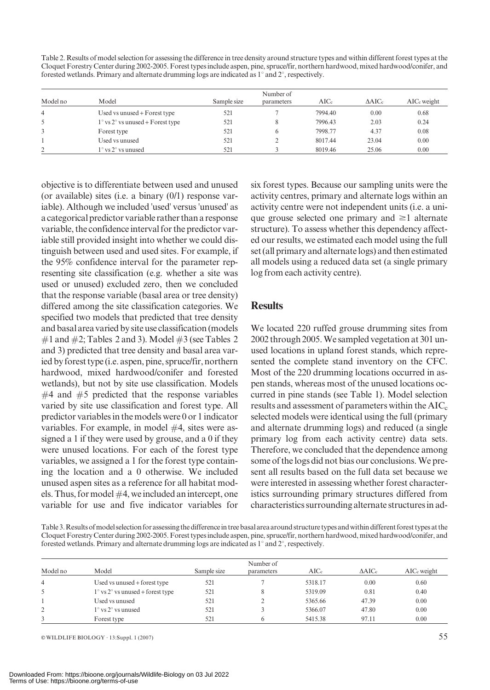Table 2. Results of model selection for assessing the difference in tree density around structure types and within different forest types at the Cloquet Forestry Center during 2002-2005. Forest types include aspen, pine, spruce/fir, northern hardwood, mixed hardwood/conifer, and forested wetlands. Primary and alternate drumming logs are indicated as  $1^{\circ}$  and  $2^{\circ}$ , respectively.

| Model no       | Model                                              | Sample size | Number of<br>parameters | $\rm AICc$ | $\Delta AICc$ | AIC <sub>c</sub> weight |
|----------------|----------------------------------------------------|-------------|-------------------------|------------|---------------|-------------------------|
| $\overline{4}$ | Used vs unused + Forest type                       | 521         |                         | 7994.40    | 0.00          | 0.68                    |
| 5              | $1^{\circ}$ vs $2^{\circ}$ vs unused + Forest type | 521         |                         | 7996.43    | 2.03          | 0.24                    |
| 3              | Forest type                                        | 521         | 6                       | 7998.77    | 4.37          | 0.08                    |
|                | Used vs unused                                     | 521         |                         | 8017.44    | 23.04         | 0.00                    |
| $\gamma$       | $1^\circ$ vs $2^\circ$ vs unused                   | 521         |                         | 8019.46    | 25.06         | 0.00                    |

objective is to differentiate between used and unused (or available) sites (i.e. a binary (0/1) response variable). Although we included 'used' versus 'unused' as a categorical predictor variable rather than a response variable, the confidence interval for the predictor variable still provided insight into whether we could distinguish between used and used sites. For example, if the 95% confidence interval for the parameter representing site classification (e.g. whether a site was used or unused) excluded zero, then we concluded that the response variable (basal area or tree density) differed among the site classification categories. We specified two models that predicted that tree density and basal area varied by site use classification (models  $\#1$  and  $\#2$ ; Tables 2 and 3). Model  $\#3$  (see Tables 2 and 3) predicted that tree density and basal area varied by forest type (i.e. aspen, pine, spruce/fir, northern hardwood, mixed hardwood/conifer and forested wetlands), but not by site use classification. Models  $#4$  and  $#5$  predicted that the response variables varied by site use classification and forest type. All predictor variables in the models were 0 or 1 indicator variables. For example, in model #4, sites were assigned a 1 if they were used by grouse, and a 0 if they were unused locations. For each of the forest type variables, we assigned a 1 for the forest type containing the location and a 0 otherwise. We included unused aspen sites as a reference for all habitat models. Thus, for model  $#4$ , we included an intercept, one variable for use and five indicator variables for six forest types. Because our sampling units were the activity centres, primary and alternate logs within an activity centre were not independent units (i.e. a unique grouse selected one primary and  $\geq 1$  alternate structure). To assess whether this dependency affected our results, we estimated each model using the full set (all primary and alternate logs) and then estimated all models using a reduced data set (a single primary log from each activity centre).

## **Results**

We located 220 ruffed grouse drumming sites from 2002 through 2005. We sampled vegetation at 301 unused locations in upland forest stands, which represented the complete stand inventory on the CFC. Most of the 220 drumming locations occurred in aspen stands, whereas most of the unused locations occurred in pine stands (see Table 1). Model selection results and assessment of parameters within the  $AIC<sub>c</sub>$ selected models were identical using the full (primary and alternate drumming logs) and reduced (a single primary log from each activity centre) data sets. Therefore, we concluded that the dependence among some of the logs did not bias our conclusions. We present all results based on the full data set because we were interested in assessing whether forest characteristics surrounding primary structures differed from characteristics surrounding alternate structuresin ad-

Table 3. Results of model selection for assessing the difference in tree basal area around structure types and within different forest types at the Cloquet Forestry Center during 2002-2005. Forest types include aspen, pine, spruce/fir, northern hardwood, mixed hardwood/conifer, and forested wetlands. Primary and alternate drumming logs are indicated as 1° and 2°, respectively.

| Model no       | Model                                          | Sample size | Number of<br>parameters | AICc    | $\triangle AICc$ | AIC <sub>c</sub> weight |
|----------------|------------------------------------------------|-------------|-------------------------|---------|------------------|-------------------------|
| $\overline{4}$ | Used vs unused + forest type                   | 521         |                         | 5318.17 | 0.00             | 0.60                    |
| 5              | $1^\circ$ vs $2^\circ$ vs unused + forest type | 521         |                         | 5319.09 | 0.81             | 0.40                    |
|                | Used vs unused                                 | 521         |                         | 5365.66 | 47.39            | 0.00                    |
| 2              | $1^\circ$ vs $2^\circ$ vs unused               | 521         |                         | 5366.07 | 47.80            | 0.00                    |
|                | Forest type                                    | 521         |                         | 5415.38 | 97.11            | 0.00                    |

 $\infty$  WILDLIFE BIOLOGY · 13:Suppl. 1 (2007) 55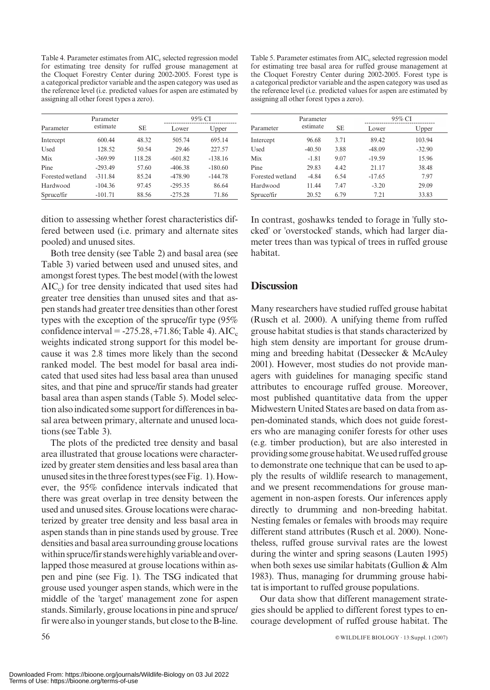Table 4. Parameter estimates from  $AIC<sub>c</sub>$  selected regression model for estimating tree density for ruffed grouse management at the Cloquet Forestry Center during 2002-2005. Forest type is a categorical predictor variable and the aspen category was used as the reference level (i.e. predicted values for aspen are estimated by assigning all other forest types a zero).

|                  | Parameter |        |           | 95% CI    |
|------------------|-----------|--------|-----------|-----------|
| Parameter        | estimate  | SE     | Lower     | Upper     |
| Intercept        | 600.44    | 48.32  | 505.74    | 695.14    |
| <b>Used</b>      | 128.52    | 50.54  | 29.46     | 227.57    |
| Mix              | $-369.99$ | 118.28 | $-601.82$ | $-138.16$ |
| Pine             | $-293.49$ | 57.60  | $-406.38$ | $-180.60$ |
| Forested wetland | $-311.84$ | 85.24  | $-478.90$ | $-144.78$ |
| Hardwood         | $-104.36$ | 97.45  | $-295.35$ | 86.64     |
| Spruce/fir       | $-101.71$ | 88.56  | $-275.28$ | 71.86     |

dition to assessing whether forest characteristics differed between used (i.e. primary and alternate sites pooled) and unused sites.

Both tree density (see Table 2) and basal area (see Table 3) varied between used and unused sites, and amongst forest types. The best model (with the lowest  $AIC<sub>c</sub>$ ) for tree density indicated that used sites had greater tree densities than unused sites and that aspen stands had greater tree densities than other forest types with the exception of the spruce/fir type (95% confidence interval =  $-275.28, +71.86$ ; Table 4). AIC<sub>c</sub> weights indicated strong support for this model because it was 2.8 times more likely than the second ranked model. The best model for basal area indicated that used sites had less basal area than unused sites, and that pine and spruce/fir stands had greater basal area than aspen stands (Table 5). Model selection also indicated some support for differences in basal area between primary, alternate and unused locations (see Table 3).

The plots of the predicted tree density and basal area illustrated that grouse locations were characterized by greater stem densities and less basal area than unusedsitesinthethreeforesttypes(seeFig. 1).However, the 95% confidence intervals indicated that there was great overlap in tree density between the used and unused sites. Grouse locations were characterized by greater tree density and less basal area in aspen stands than in pine stands used by grouse. Tree densities and basal area surrounding grouse locations within spruce/fir stands were highly variable and overlapped those measured at grouse locations within aspen and pine (see Fig. 1). The TSG indicated that grouse used younger aspen stands, which were in the middle of the 'target' management zone for aspen stands. Similarly, grouse locations in pine and spruce/ fir were also in younger stands, but close to the B-line.

Table 5. Parameter estimates from AIC<sub>c</sub> selected regression model for estimating tree basal area for ruffed grouse management at the Cloquet Forestry Center during 2002-2005. Forest type is a categorical predictor variable and the aspen category was used as the reference level (i.e. predicted values for aspen are estimated by assigning all other forest types a zero).

|                  | Parameter |      | 95% CI   |          |  |
|------------------|-----------|------|----------|----------|--|
| Parameter        | estimate  | SЕ   | Lower    | Upper    |  |
| Intercept        | 96.68     | 3.71 | 89.42    | 103.94   |  |
| Used             | $-40.50$  | 3.88 | $-48.09$ | $-32.90$ |  |
| Mix              | $-1.81$   | 9.07 | $-19.59$ | 15.96    |  |
| Pine             | 29.83     | 4.42 | 21.17    | 38.48    |  |
| Forested wetland | $-4.84$   | 6.54 | $-17.65$ | 7.97     |  |
| Hardwood         | 11.44     | 7.47 | $-3.20$  | 29.09    |  |
| Spruce/fir       | 20.52     | 6.79 | 7.21     | 33.83    |  |

In contrast, goshawks tended to forage in 'fully stocked' or 'overstocked' stands, which had larger diameter trees than was typical of trees in ruffed grouse habitat.

#### **Discussion**

Many researchers have studied ruffed grouse habitat (Rusch et al. 2000). A unifying theme from ruffed grouse habitat studies is that stands characterized by high stem density are important for grouse drumming and breeding habitat (Dessecker & McAuley 2001). However, most studies do not provide managers with guidelines for managing specific stand attributes to encourage ruffed grouse. Moreover, most published quantitative data from the upper Midwestern United States are based on data from aspen-dominated stands, which does not guide foresters who are managing conifer forests for other uses (e.g. timber production), but are also interested in providingsomegrousehabitat.Weusedruffedgrouse to demonstrate one technique that can be used to apply the results of wildlife research to management, and we present recommendations for grouse management in non-aspen forests. Our inferences apply directly to drumming and non-breeding habitat. Nesting females or females with broods may require different stand attributes (Rusch et al. 2000). Nonetheless, ruffed grouse survival rates are the lowest during the winter and spring seasons (Lauten 1995) when both sexes use similar habitats (Gullion & Alm 1983). Thus, managing for drumming grouse habitat is important to ruffed grouse populations.

Our data show that different management strategies should be applied to different forest types to encourage development of ruffed grouse habitat. The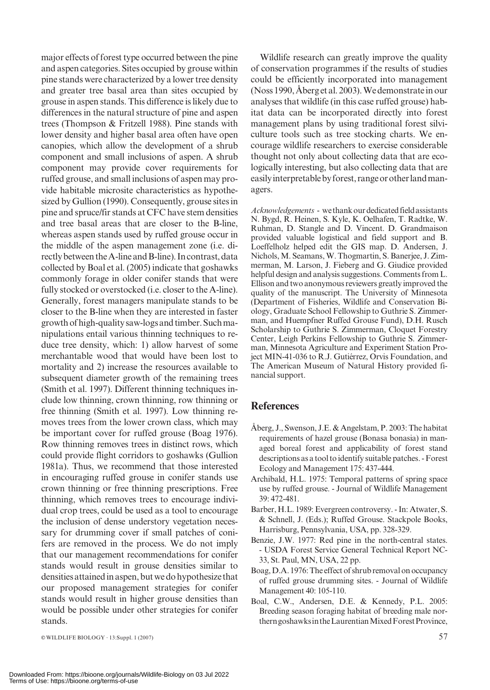major effects of forest type occurred between the pine and aspen categories. Sites occupied by grouse within pine stands were characterized by a lower tree density and greater tree basal area than sites occupied by grouse in aspen stands. This difference is likely due to differences in the natural structure of pine and aspen trees (Thompson & Fritzell 1988). Pine stands with lower density and higher basal area often have open canopies, which allow the development of a shrub component and small inclusions of aspen. A shrub component may provide cover requirements for ruffed grouse, and small inclusions of aspen may provide habitable microsite characteristics as hypothesized by Gullion (1990). Consequently, grouse sites in pine and spruce/fir stands at CFC have stem densities and tree basal areas that are closer to the B-line, whereas aspen stands used by ruffed grouse occur in the middle of the aspen management zone (i.e. directly between the A-line and B-line). In contrast, data collected by Boal et al. (2005) indicate that goshawks commonly forage in older conifer stands that were fully stocked or overstocked (i.e. closer to the A-line). Generally, forest managers manipulate stands to be closer to the B-line when they are interested in faster growthofhigh-qualitysaw-logsandtimber.Suchmanipulations entail various thinning techniques to reduce tree density, which: 1) allow harvest of some merchantable wood that would have been lost to mortality and 2) increase the resources available to subsequent diameter growth of the remaining trees (Smith et al. 1997). Different thinning techniques include low thinning, crown thinning, row thinning or free thinning (Smith et al. 1997). Low thinning removes trees from the lower crown class, which may be important cover for ruffed grouse (Boag 1976). Row thinning removes trees in distinct rows, which could provide flight corridors to goshawks (Gullion 1981a). Thus, we recommend that those interested in encouraging ruffed grouse in conifer stands use crown thinning or free thinning prescriptions. Free thinning, which removes trees to encourage individual crop trees, could be used as a tool to encourage the inclusion of dense understory vegetation necessary for drumming cover if small patches of conifers are removed in the process. We do not imply that our management recommendations for conifer stands would result in grouse densities similar to densities attained in aspen, but we do hypothesize that our proposed management strategies for conifer stands would result in higher grouse densities than would be possible under other strategies for conifer stands.

Wildlife research can greatly improve the quality of conservation programmes if the results of studies could be efficiently incorporated into management (Noss 1990, Åberg et al. 2003). We demonstrate in our analyses that wildlife (in this case ruffed grouse) habitat data can be incorporated directly into forest management plans by using traditional forest silviculture tools such as tree stocking charts. We encourage wildlife researchers to exercise considerable thought not only about collecting data that are ecologically interesting, but also collecting data that are easily interpretable by forest, range or other land managers.

Acknowledgements - we thank our dedicated field assistants N. Bygd, R. Heinen, S. Kyle, K. Oelhafen, T. Radtke, W. Ruhman, D. Stangle and D. Vincent. D. Grandmaison provided valuable logistical and field support and B. Loeffelholz helped edit the GIS map. D. Andersen, J. Nichols, M. Seamans, W. Thogmartin, S. Banerjee, J. Zimmerman, M. Larson, J. Fieberg and G. Giudice provided helpful design and analysis suggestions. Comments from L. Ellison and two anonymous reviewers greatly improved the quality of the manuscript. The University of Minnesota (Department of Fisheries, Wildlife and Conservation Biology, Graduate School Fellowship to Guthrie S. Zimmerman, and Huempfner Ruffed Grouse Fund), D.H. Rusch Scholarship to Guthrie S. Zimmerman, Cloquet Forestry Center, Leigh Perkins Fellowship to Guthrie S. Zimmerman, Minnesota Agriculture and Experiment Station Project MIN-41-036 to R.J. Gutiérrez, Orvis Foundation, and The American Museum of Natural History provided financial support.

# **References**

- Åberg, J., Swenson, J.E.  $&$  Angelstam, P. 2003: The habitat requirements of hazel grouse (Bonasa bonasia) in managed boreal forest and applicability of forest stand descriptions as a tool to identify suitable patches. - Forest Ecology and Management 175: 437-444.
- Archibald, H.L. 1975: Temporal patterns of spring space use by ruffed grouse. - Journal of Wildlife Management 39: 472-481.
- Barber, H.L. 1989: Evergreen controversy. In: Atwater, S. & Schnell, J. (Eds.); Ruffed Grouse. Stackpole Books, Harrisburg, Pennsylvania, USA, pp. 328-329.
- Benzie, J.W. 1977: Red pine in the north-central states. - USDA Forest Service General Technical Report NC-33, St. Paul, MN, USA, 22 pp.
- Boag, D.A.1976: The effect of shrub removal on occupancy of ruffed grouse drumming sites. - Journal of Wildlife Management 40: 105-110.
- Boal, C.W., Andersen, D.E. & Kennedy, P.L. 2005: Breeding season foraging habitat of breeding male northerngoshawksintheLaurentianMixedForestProvince,

 $\infty$  WILDLIFE BIOLOGY · 13:Suppl. 1 (2007) 57